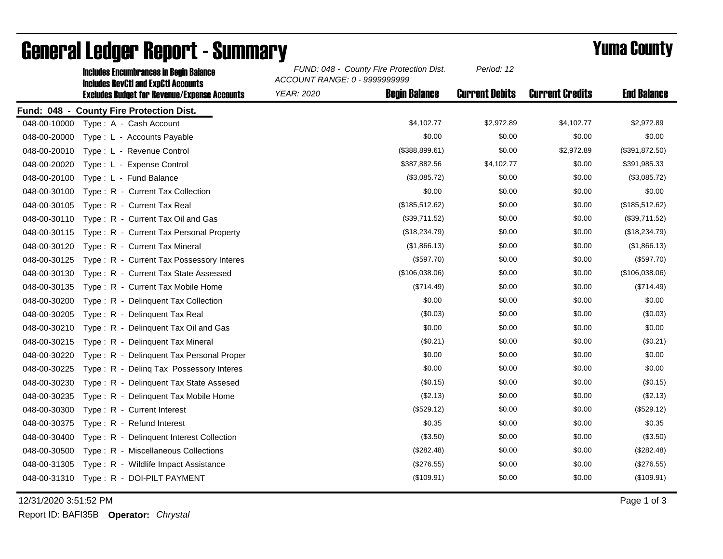|              | <u>Inciques Encumulances In Deuin Daiance</u><br><b>Includes RevCtI and ExpCtI Accounts</b> | ACCOUNT RANGE: 0 - 9999999999 |                      |                       |                        |                    |
|--------------|---------------------------------------------------------------------------------------------|-------------------------------|----------------------|-----------------------|------------------------|--------------------|
|              | <b>Excludes Budget for Revenue/Expense Accounts</b>                                         | YEAR: 2020                    | <b>Begin Balance</b> | <b>Current Debits</b> | <b>Current Credits</b> | <b>End Balance</b> |
|              | Fund: 048 - County Fire Protection Dist.                                                    |                               |                      |                       |                        |                    |
| 048-00-10000 | Type: A - Cash Account                                                                      |                               | \$4,102.77           | \$2,972.89            | \$4,102.77             | \$2,972.89         |
| 048-00-20000 | Type : L - Accounts Payable                                                                 |                               | \$0.00               | \$0.00                | \$0.00                 | \$0.00             |
| 048-00-20010 | Type: L - Revenue Control                                                                   |                               | (\$388, 899.61)      | \$0.00                | \$2,972.89             | (\$391, 872.50)    |
| 048-00-20020 | Type: L - Expense Control                                                                   |                               | \$387,882.56         | \$4,102.77            | \$0.00                 | \$391,985.33       |
| 048-00-20100 | Type: L - Fund Balance                                                                      |                               | (\$3,085.72)         | \$0.00                | \$0.00                 | (\$3,085.72)       |
| 048-00-30100 | Type: R - Current Tax Collection                                                            |                               | \$0.00               | \$0.00                | \$0.00                 | \$0.00             |
| 048-00-30105 | Type: R - Current Tax Real                                                                  |                               | (\$185,512.62)       | \$0.00                | \$0.00                 | (\$185,512.62)     |
| 048-00-30110 | Type: R - Current Tax Oil and Gas                                                           |                               | (\$39,711.52)        | \$0.00                | \$0.00                 | (\$39,711.52)      |
| 048-00-30115 | Type: R - Current Tax Personal Property                                                     |                               | (\$18,234.79)        | \$0.00                | \$0.00                 | (\$18,234.79)      |
| 048-00-30120 | Type: R - Current Tax Mineral                                                               |                               | (\$1,866.13)         | \$0.00                | \$0.00                 | (\$1,866.13)       |
| 048-00-30125 | Type: R - Current Tax Possessory Interes                                                    |                               | (\$597.70)           | \$0.00                | \$0.00                 | (\$597.70)         |
| 048-00-30130 | Type: R - Current Tax State Assessed                                                        |                               | (\$106,038.06)       | \$0.00                | \$0.00                 | (\$106,038.06)     |
| 048-00-30135 | Type: R - Current Tax Mobile Home                                                           |                               | (\$714.49)           | \$0.00                | \$0.00                 | (\$714.49)         |
| 048-00-30200 | Type: R - Delinquent Tax Collection                                                         |                               | \$0.00               | \$0.00                | \$0.00                 | \$0.00             |
| 048-00-30205 | Type: R - Delinguent Tax Real                                                               |                               | (\$0.03)             | \$0.00                | \$0.00                 | (\$0.03)           |
| 048-00-30210 | Type: R - Delinquent Tax Oil and Gas                                                        |                               | \$0.00               | \$0.00                | \$0.00                 | \$0.00             |
| 048-00-30215 | Type: R - Delinquent Tax Mineral                                                            |                               | (\$0.21)             | \$0.00                | \$0.00                 | (\$0.21)           |
| 048-00-30220 | Type: R - Delinquent Tax Personal Proper                                                    |                               | \$0.00               | \$0.00                | \$0.00                 | \$0.00             |
| 048-00-30225 | Type: R - Deling Tax Possessory Interes                                                     |                               | \$0.00               | \$0.00                | \$0.00                 | \$0.00             |
| 048-00-30230 | Type: R - Delinquent Tax State Assesed                                                      |                               | (\$0.15)             | \$0.00                | \$0.00                 | (\$0.15)           |
| 048-00-30235 | Type: R - Delinquent Tax Mobile Home                                                        |                               | (\$2.13)             | \$0.00                | \$0.00                 | (\$2.13)           |
| 048-00-30300 | Type: R - Current Interest                                                                  |                               | (\$529.12)           | \$0.00                | \$0.00                 | (\$529.12)         |
| 048-00-30375 | Type: R - Refund Interest                                                                   |                               | \$0.35               | \$0.00                | \$0.00                 | \$0.35             |
| 048-00-30400 | Type: R - Delinquent Interest Collection                                                    |                               | (\$3.50)             | \$0.00                | \$0.00                 | $(\$3.50)$         |
| 048-00-30500 | Type: R - Miscellaneous Collections                                                         |                               | (\$282.48)           | \$0.00                | \$0.00                 | (\$282.48)         |
| 048-00-31305 | Type: R - Wildlife Impact Assistance                                                        |                               | (\$276.55)           | \$0.00                | \$0.00                 | (\$276.55)         |
|              | 048-00-31310 Type: R - DOI-PILT PAYMENT                                                     |                               | (\$109.91)           | \$0.00                | \$0.00                 | (\$109.91)         |
|              |                                                                                             |                               |                      |                       |                        |                    |

## General Ledger Report - Summary **Example 2018** Yuma County

Includes Encumbrances in Begin Balance *FUND: 048 - County Fire Protection Dist.*

12/31/2020 3:51:52 PM Page 1 of 3

Report ID: BAFI35B **Operator:** *Chrystal*

*Period: 12*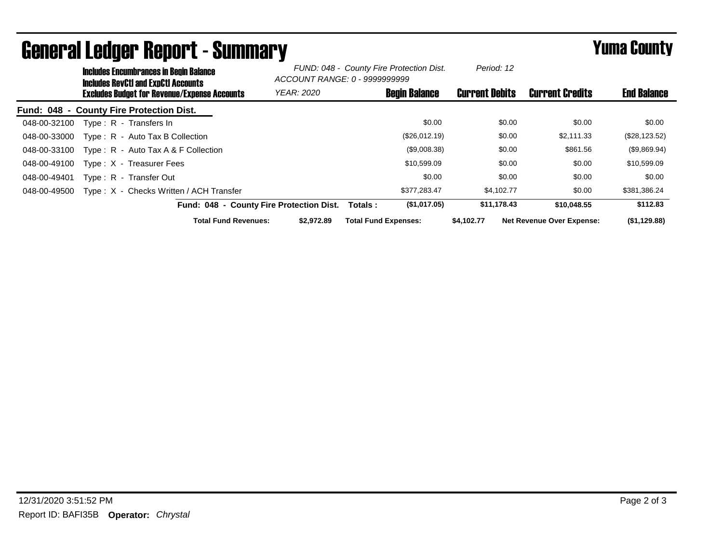|              | <b>Includes Encumbrances in Begin Balance</b><br><b>Includes RevCtI and ExpCtI Accounts</b><br><b>Excludes Budget for Revenue/Expense Accounts</b> |                                          | FUND: 048 - County Fire Protection Dist.<br>ACCOUNT RANGE: 0 - 9999999999 |                             | Period: 12           |                       |                                  |                    |
|--------------|----------------------------------------------------------------------------------------------------------------------------------------------------|------------------------------------------|---------------------------------------------------------------------------|-----------------------------|----------------------|-----------------------|----------------------------------|--------------------|
|              |                                                                                                                                                    |                                          | <b>YEAR: 2020</b>                                                         |                             | <b>Begin Balance</b> | <b>Current Debits</b> | <b>Current Credits</b>           | <b>End Balance</b> |
|              |                                                                                                                                                    | Fund: 048 - County Fire Protection Dist. |                                                                           |                             |                      |                       |                                  |                    |
| 048-00-32100 |                                                                                                                                                    | Type: R - Transfers In                   |                                                                           |                             | \$0.00               | \$0.00                | \$0.00                           | \$0.00             |
| 048-00-33000 |                                                                                                                                                    | Type: R - Auto Tax B Collection          |                                                                           |                             | (\$26,012.19)        | \$0.00                | \$2,111.33                       | (\$28,123.52)      |
| 048-00-33100 |                                                                                                                                                    | Type: $R -$ Auto Tax A & F Collection    |                                                                           |                             | (\$9,008.38)         | \$0.00                | \$861.56                         | (\$9,869.94)       |
| 048-00-49100 |                                                                                                                                                    | Type: X - Treasurer Fees                 |                                                                           |                             | \$10,599.09          | \$0.00                | \$0.00                           | \$10,599.09        |
| 048-00-49401 |                                                                                                                                                    | Type: R - Transfer Out                   |                                                                           |                             | \$0.00               | \$0.00                | \$0.00                           | \$0.00             |
| 048-00-49500 |                                                                                                                                                    | Type: X - Checks Written / ACH Transfer  |                                                                           |                             | \$377.283.47         | \$4.102.77            | \$0.00                           | \$381,386.24       |
|              |                                                                                                                                                    | Fund: 048 - County Fire Protection Dist. |                                                                           | Totals :                    | (\$1,017.05)         | \$11,178.43           | \$10,048.55                      | \$112.83           |
|              |                                                                                                                                                    | <b>Total Fund Revenues:</b>              | \$2,972.89                                                                | <b>Total Fund Expenses:</b> |                      | \$4.102.77            | <b>Net Revenue Over Expense:</b> | (\$1,129.88)       |

## General Ledger Report - Summary **Example 2018** Yuma County